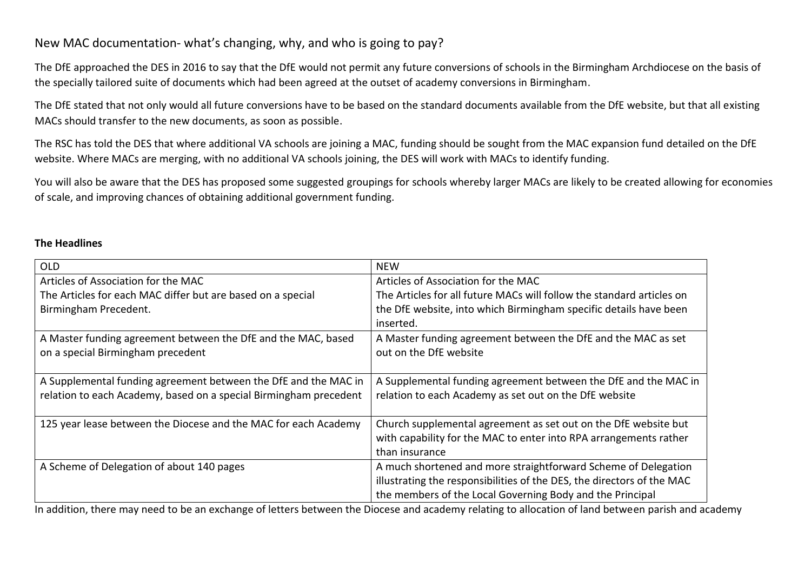# New MAC documentation- what's changing, why, and who is going to pay?

The DfE approached the DES in 2016 to say that the DfE would not permit any future conversions of schools in the Birmingham Archdiocese on the basis of the specially tailored suite of documents which had been agreed at the outset of academy conversions in Birmingham.

The DfE stated that not only would all future conversions have to be based on the standard documents available from the DfE website, but that all existing MACs should transfer to the new documents, as soon as possible.

The RSC has told the DES that where additional VA schools are joining a MAC, funding should be sought from the MAC expansion fund detailed on the DfE website. Where MACs are merging, with no additional VA schools joining, the DES will work with MACs to identify funding.

You will also be aware that the DES has proposed some suggested groupings for schools whereby larger MACs are likely to be created allowing for economies of scale, and improving chances of obtaining additional government funding.

## **The Headlines**

| <b>OLD</b>                                                        | <b>NEW</b>                                                             |
|-------------------------------------------------------------------|------------------------------------------------------------------------|
| Articles of Association for the MAC                               | Articles of Association for the MAC                                    |
| The Articles for each MAC differ but are based on a special       | The Articles for all future MACs will follow the standard articles on  |
| Birmingham Precedent.                                             | the DfE website, into which Birmingham specific details have been      |
|                                                                   | inserted.                                                              |
| A Master funding agreement between the DfE and the MAC, based     | A Master funding agreement between the DfE and the MAC as set          |
| on a special Birmingham precedent                                 | out on the DfE website                                                 |
|                                                                   |                                                                        |
| A Supplemental funding agreement between the DfE and the MAC in   | A Supplemental funding agreement between the DfE and the MAC in        |
| relation to each Academy, based on a special Birmingham precedent | relation to each Academy as set out on the DfE website                 |
|                                                                   |                                                                        |
| 125 year lease between the Diocese and the MAC for each Academy   | Church supplemental agreement as set out on the DfE website but        |
|                                                                   | with capability for the MAC to enter into RPA arrangements rather      |
|                                                                   | than insurance                                                         |
| A Scheme of Delegation of about 140 pages                         | A much shortened and more straightforward Scheme of Delegation         |
|                                                                   | illustrating the responsibilities of the DES, the directors of the MAC |
|                                                                   | the members of the Local Governing Body and the Principal              |

In addition, there may need to be an exchange of letters between the Diocese and academy relating to allocation of land between parish and academy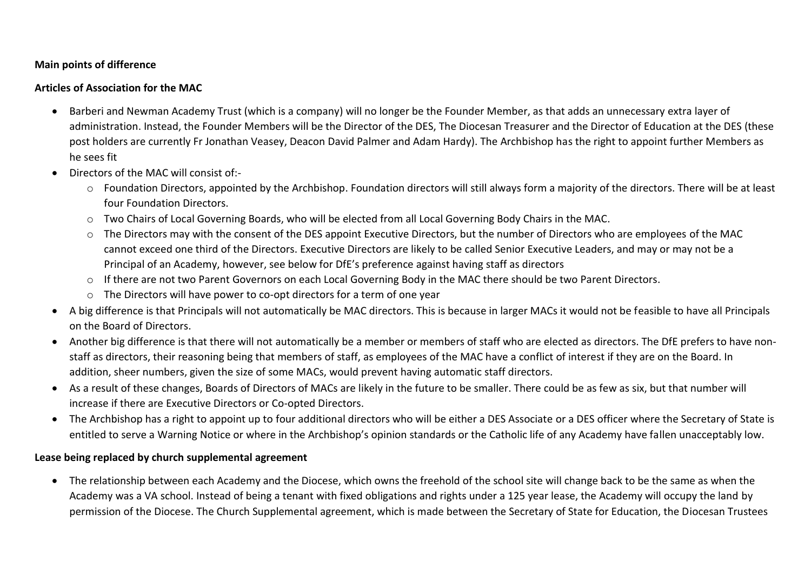## **Main points of difference**

#### **Articles of Association for the MAC**

- Barberi and Newman Academy Trust (which is a company) will no longer be the Founder Member, as that adds an unnecessary extra layer of administration. Instead, the Founder Members will be the Director of the DES, The Diocesan Treasurer and the Director of Education at the DES (these post holders are currently Fr Jonathan Veasey, Deacon David Palmer and Adam Hardy). The Archbishop has the right to appoint further Members as he sees fit
- Directors of the MAC will consist of
	- o Foundation Directors, appointed by the Archbishop. Foundation directors will still always form a majority of the directors. There will be at least four Foundation Directors.
	- o Two Chairs of Local Governing Boards, who will be elected from all Local Governing Body Chairs in the MAC.
	- o The Directors may with the consent of the DES appoint Executive Directors, but the number of Directors who are employees of the MAC cannot exceed one third of the Directors. Executive Directors are likely to be called Senior Executive Leaders, and may or may not be a Principal of an Academy, however, see below for DfE's preference against having staff as directors
	- o If there are not two Parent Governors on each Local Governing Body in the MAC there should be two Parent Directors.
	- o The Directors will have power to co-opt directors for a term of one year
- A big difference is that Principals will not automatically be MAC directors. This is because in larger MACs it would not be feasible to have all Principals on the Board of Directors.
- Another big difference is that there will not automatically be a member or members of staff who are elected as directors. The DfE prefers to have nonstaff as directors, their reasoning being that members of staff, as employees of the MAC have a conflict of interest if they are on the Board. In addition, sheer numbers, given the size of some MACs, would prevent having automatic staff directors.
- As a result of these changes, Boards of Directors of MACs are likely in the future to be smaller. There could be as few as six, but that number will increase if there are Executive Directors or Co-opted Directors.
- The Archbishop has a right to appoint up to four additional directors who will be either a DES Associate or a DES officer where the Secretary of State is entitled to serve a Warning Notice or where in the Archbishop's opinion standards or the Catholic life of any Academy have fallen unacceptably low.

## **Lease being replaced by church supplemental agreement**

 The relationship between each Academy and the Diocese, which owns the freehold of the school site will change back to be the same as when the Academy was a VA school. Instead of being a tenant with fixed obligations and rights under a 125 year lease, the Academy will occupy the land by permission of the Diocese. The Church Supplemental agreement, which is made between the Secretary of State for Education, the Diocesan Trustees